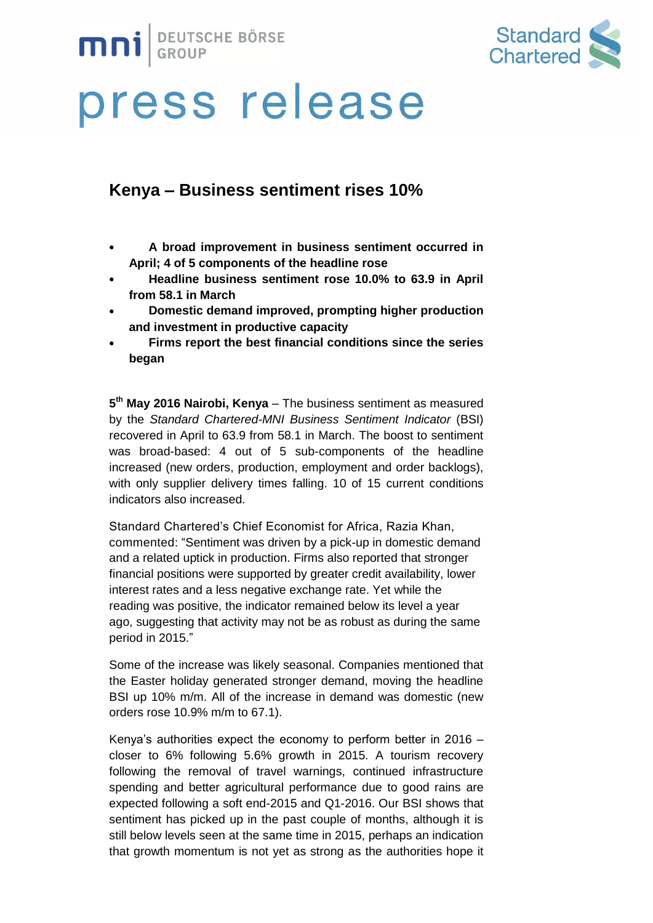



### **Kenya – Business sentiment rises 10%**

- **A broad improvement in business sentiment occurred in April; 4 of 5 components of the headline rose**
- **Headline business sentiment rose 10.0% to 63.9 in April from 58.1 in March**
- **Domestic demand improved, prompting higher production and investment in productive capacity**
- **Firms report the best financial conditions since the series began**

**5 th May 2016 Nairobi, Kenya** – The business sentiment as measured by the *Standard Chartered-MNI Business Sentiment Indicator* (BSI) recovered in April to 63.9 from 58.1 in March. The boost to sentiment was broad-based: 4 out of 5 sub-components of the headline increased (new orders, production, employment and order backlogs), with only supplier delivery times falling. 10 of 15 current conditions indicators also increased.

Standard Chartered's Chief Economist for Africa, Razia Khan, commented: "Sentiment was driven by a pick-up in domestic demand and a related uptick in production. Firms also reported that stronger financial positions were supported by greater credit availability, lower interest rates and a less negative exchange rate. Yet while the reading was positive, the indicator remained below its level a year ago, suggesting that activity may not be as robust as during the same period in 2015."

Some of the increase was likely seasonal. Companies mentioned that the Easter holiday generated stronger demand, moving the headline BSI up 10% m/m. All of the increase in demand was domestic (new orders rose 10.9% m/m to 67.1).

Kenya's authorities expect the economy to perform better in 2016 – closer to 6% following 5.6% growth in 2015. A tourism recovery following the removal of travel warnings, continued infrastructure spending and better agricultural performance due to good rains are expected following a soft end-2015 and Q1-2016. Our BSI shows that sentiment has picked up in the past couple of months, although it is still below levels seen at the same time in 2015, perhaps an indication that growth momentum is not yet as strong as the authorities hope it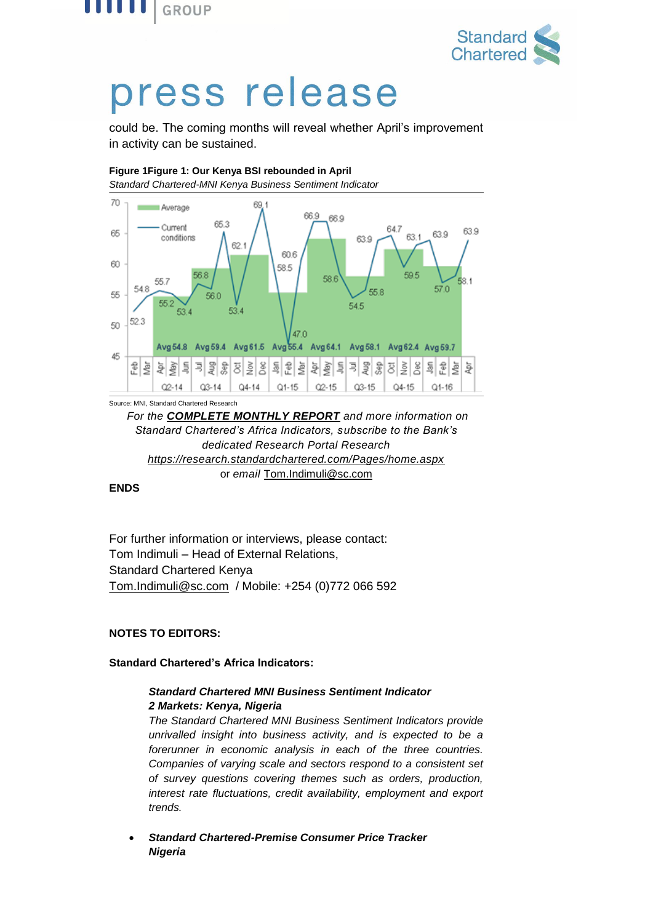



could be. The coming months will reveal whether April's improvement in activity can be sustained.

#### **Figure 1Figure 1: Our Kenya BSI rebounded in April**

*Standard Chartered-MNI Kenya Business Sentiment Indicator*



*For the [COMPLETE](https://research.standardchartered.com/Pages/home.aspx) MONTHLY REPORT and more information on Standard Chartered's Africa Indicators, subscribe to the Bank's dedicated Research Portal Research <https://research.standardchartered.com/Pages/home.aspx>* or *email* [Tom.Indimuli@sc.com](mailto:Tom.Indimuli@sc.com)

#### **ENDS**

For further information or interviews, please contact: Tom Indimuli – Head of External Relations, Standard Chartered Kenya [Tom.Indimuli@sc.com](mailto:Tom.Indimuli@sc.com) / Mobile: +254 (0)772 066 592

#### **NOTES TO EDITORS:**

#### **Standard Chartered's Africa Indicators:**

#### *Standard Chartered MNI Business Sentiment Indicator 2 Markets: Kenya, Nigeria*

*The Standard Chartered MNI Business Sentiment Indicators provide unrivalled insight into business activity, and is expected to be a forerunner in economic analysis in each of the three countries. Companies of varying scale and sectors respond to a consistent set of survey questions covering themes such as orders, production, interest rate fluctuations, credit availability, employment and export trends.*

 *Standard Chartered-Premise Consumer Price Tracker Nigeria*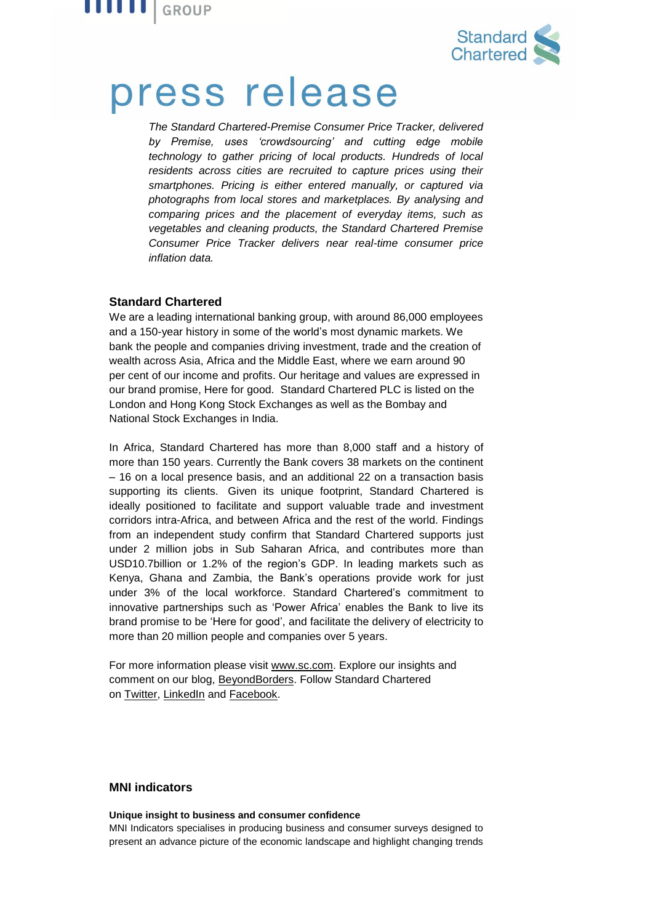



*The Standard Chartered-Premise Consumer Price Tracker, delivered by Premise, uses 'crowdsourcing' and cutting edge mobile technology to gather pricing of local products. Hundreds of local*  residents across cities are recruited to capture prices using their *smartphones. Pricing is either entered manually, or captured via photographs from local stores and marketplaces. By analysing and comparing prices and the placement of everyday items, such as vegetables and cleaning products, the Standard Chartered Premise Consumer Price Tracker delivers near real-time consumer price inflation data.*

#### **Standard Chartered**

We are a leading international banking group, with around 86,000 employees and a 150-year history in some of the world's most dynamic markets. We bank the people and companies driving investment, trade and the creation of wealth across Asia, Africa and the Middle East, where we earn around 90 per cent of our income and profits. Our heritage and values are expressed in our brand promise, Here for good. Standard Chartered PLC is listed on the London and Hong Kong Stock Exchanges as well as the Bombay and National Stock Exchanges in India.

In Africa, Standard Chartered has more than 8,000 staff and a history of more than 150 years. Currently the Bank covers 38 markets on the continent – 16 on a local presence basis, and an additional 22 on a transaction basis supporting its clients. Given its unique footprint, Standard Chartered is ideally positioned to facilitate and support valuable trade and investment corridors intra-Africa, and between Africa and the rest of the world. Findings from an [independent](https://www.sc.com/en/news-and-media/news/africa/2014-02-18-independent-study-measures-our-impact-in-africa.html) study confirm that Standard Chartered supports just under 2 million jobs in Sub Saharan Africa, and contributes more than USD10.7billion or 1.2% of the region's GDP. In leading markets such as Kenya, Ghana and Zambia, the Bank's operations provide work for just under 3% of the local workforce. Standard Chartered's commitment to innovative partnerships such as ['Power](https://www.sc.com/en/news-and-media/news/africa/2014-05-05-Power-Africa-Azura-is-latest-contribution.html) Africa' enables the Bank to live its brand promise to be 'Here for good', and facilitate the delivery of electricity to more than 20 million people and companies over 5 years.

For more information please visit [www.sc.com.](https://thebridge.zone1.scb.net/external-link.jspa?url=http://www.sc.com/) Explore our insights and comment on our blog, [BeyondBorders.](https://thebridge.zone1.scb.net/external-link.jspa?url=https://www.sc.com/beyondborders/) Follow Standard Chartered on [Twitter,](https://thebridge.zone1.scb.net/external-link.jspa?url=https://twitter.com/stanchart) [LinkedIn](https://thebridge.zone1.scb.net/external-link.jspa?url=http://www.linkedin.com/company/standard-chartered-bank) and [Facebook.](https://thebridge.zone1.scb.net/external-link.jspa?url=http://www.facebook.com/standardchartered)

#### **MNI indicators**

#### **Unique insight to business and consumer confidence**

MNI Indicators specialises in producing business and consumer surveys designed to present an advance picture of the economic landscape and highlight changing trends